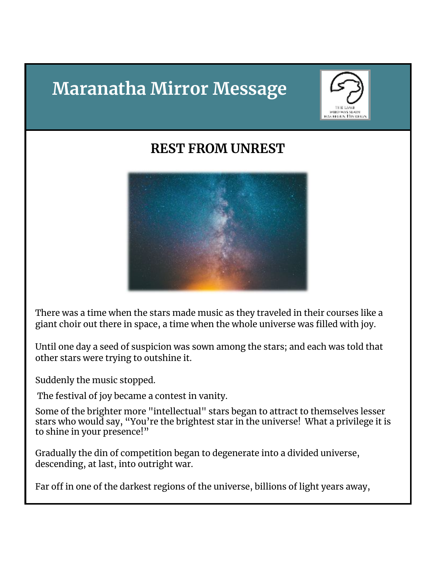# **Maranatha Mirror Message**



## **REST FROM UNREST**



There was a time when the stars made music as they traveled in their courses like a giant choir out there in space, a time when the whole universe was filled with joy.

Until one day a seed of suspicion was sown among the stars; and each was told that other stars were trying to outshine it.

Suddenly the music stopped.

The festival of joy became a contest in vanity.

Some of the brighter more "intellectual" stars began to attract to themselves lesser stars who would say, "You're the brightest star in the universe! What a privilege it is to shine in your presence!"

Gradually the din of competition began to degenerate into a divided universe, descending, at last, into outright war.

Far off in one of the darkest regions of the universe, billions of light years away,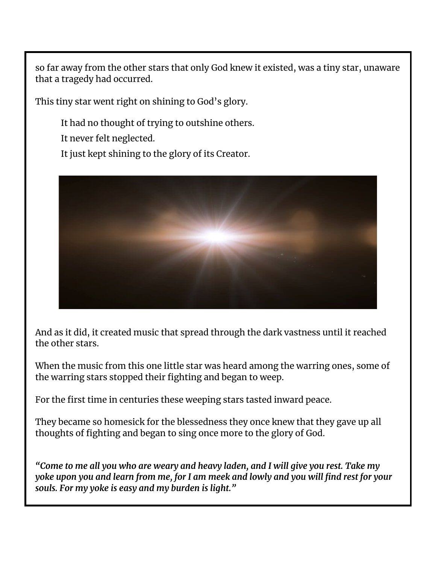so far away from the other stars that only God knew it existed, was a tiny star, unaware that a tragedy had occurred.

This tiny star went right on shining to God's glory.

It had no thought of trying to outshine others.

It never felt neglected.

It just kept shining to the glory of its Creator.



And as it did, it created music that spread through the dark vastness until it reached the other stars.

When the music from this one little star was heard among the warring ones, some of the warring stars stopped their fighting and began to weep.

For the first time in centuries these weeping stars tasted inward peace.

They became so homesick for the blessedness they once knew that they gave up all thoughts of fighting and began to sing once more to the glory of God.

*"Come to me all you who are weary and heavy laden, and I will give you rest. Take my* yoke upon you and learn from me, for I am meek and lowly and you will find rest for your *souls. For my yoke is easy and my burden is light."*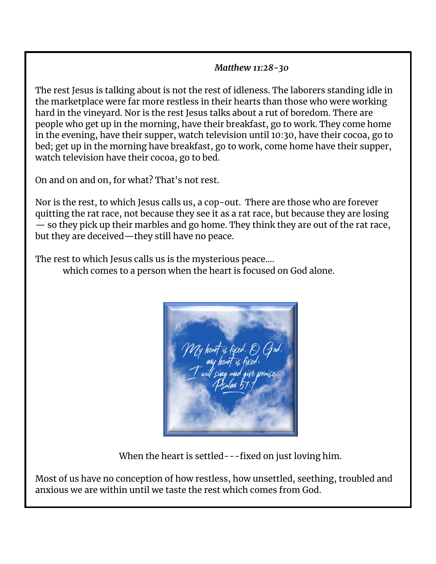#### *Matthew 11:28-30*

The rest Jesus is talking about is not the rest of idleness. The laborers standing idle in the marketplace were far more restless in their hearts than those who were working hard in the vineyard. Nor is the rest Jesus talks about a rut of boredom. There are people who get up in the morning, have their breakfast, go to work. They come home in the evening, have their supper, watch television until 10:30, have their cocoa, go to bed; get up in the morning have breakfast, go to work, come home have their supper, watch television have their cocoa, go to bed.

On and on and on, for what? That's not rest.

Nor is the rest, to which Jesus calls us, a cop-out. There are those who are forever quitting the rat race, not because they see it as a rat race, but because they are losing — so they pick up their marbles and go home. They think they are out of the rat race, but they are deceived—they still have no peace.

The rest to which Jesus calls us is the mysterious peace….

which comes to a person when the heart is focused on God alone.



When the heart is settled---fixed on just loving him.

Most of us have no conception of how restless, how unsettled, seething, troubled and anxious we are within until we taste the rest which comes from God.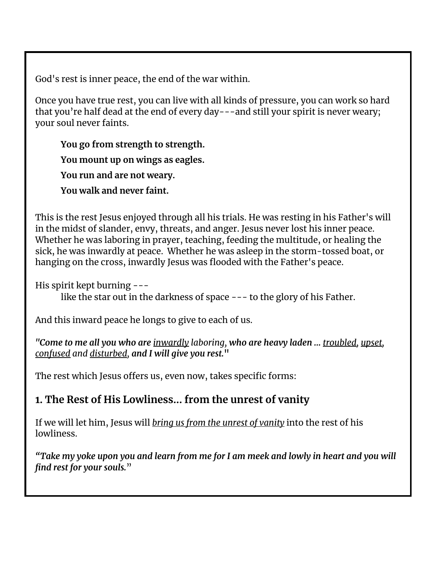God's rest is inner peace, the end of the war within.

Once you have true rest, you can live with all kinds of pressure, you can work so hard that you're half dead at the end of every day---and still your spirit is never weary; your soul never faints.

**You go from strength to strength. You mount up on wings as eagles. You run and are not weary. You walk and never faint.**

This is the rest Jesus enjoyed through all his trials. He was resting in his Father's will in the midst of slander, envy, threats, and anger. Jesus never lost his inner peace. Whether he was laboring in prayer, teaching, feeding the multitude, or healing the sick, he was inwardly at peace. Whether he was asleep in the storm-tossed boat, or hanging on the cross, inwardly Jesus was flooded with the Father's peace.

His spirit kept burning ---

like the star out in the darkness of space --- to the glory of his Father.

And this inward peace he longs to give to each of us.

*"Come to me all you who are inwardly laboring, who are heavy laden ... troubled, upset, confused and disturbed, and I will give you rest.***"**

The rest which Jesus offers us, even now, takes specific forms:

#### **1. The Rest of His Lowliness... from the unrest of vanity**

If we will let him, Jesus will *bring us from the unrest of vanity* into the rest of his lowliness.

"Take my yoke upon you and learn from me for I am meek and lowly in heart and you will *find rest for your souls.*"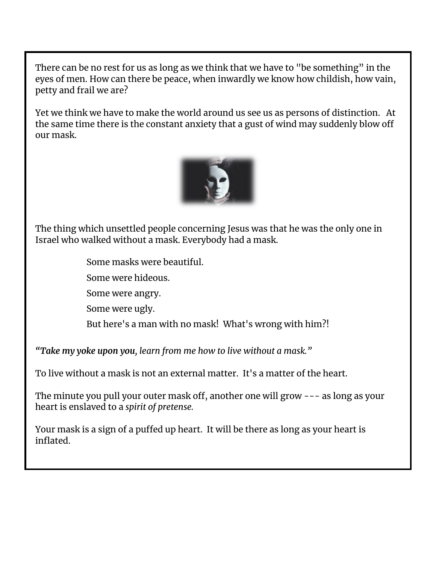There can be no rest for us as long as we think that we have to "be something" in the eyes of men. How can there be peace, when inwardly we know how childish, how vain, petty and frail we are?

Yet we think we have to make the world around us see us as persons of distinction. At the same time there is the constant anxiety that a gust of wind may suddenly blow off our mask.



The thing which unsettled people concerning Jesus was that he was the only one in Israel who walked without a mask. Everybody had a mask.

Some masks were beautiful.

Some were hideous.

Some were angry.

Some were ugly.

But here's a man with no mask! What's wrong with him?!

*"Take my yoke upon you, learn from me how to live without a mask."*

To live without a mask is not an external matter. It's a matter of the heart.

The minute you pull your outer mask off, another one will grow --- as long as your heart is enslaved to a *spirit of pretense.*

Your mask is a sign of a puffed up heart. It will be there as long as your heart is inflated.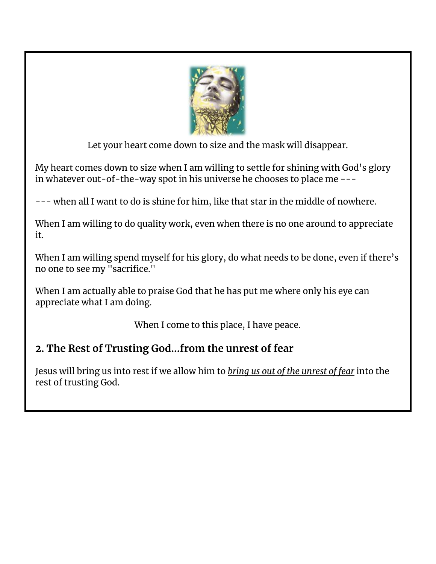

Let your heart come down to size and the mask will disappear.

My heart comes down to size when I am willing to settle for shining with God's glory in whatever out-of-the-way spot in his universe he chooses to place me ---

--- when all I want to do is shine for him, like that star in the middle of nowhere.

When I am willing to do quality work, even when there is no one around to appreciate it.

When I am willing spend myself for his glory, do what needs to be done, even if there's no one to see my "sacrifice."

When I am actually able to praise God that he has put me where only his eye can appreciate what I am doing.

When I come to this place, I have peace.

### **2. The Rest of Trusting God...from the unrest of fear**

Jesus will bring us into rest if we allow him to *bring us out of the unrest of fear* into the rest of trusting God.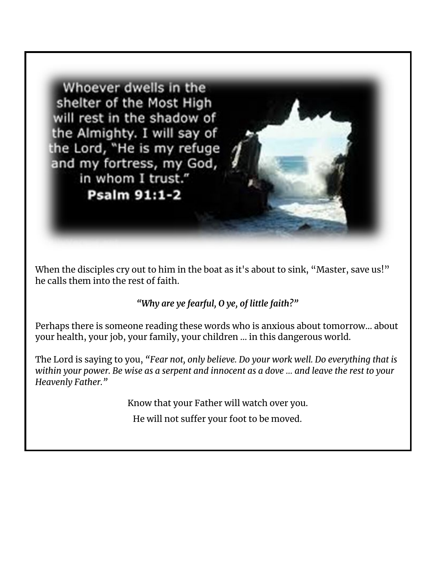Whoever dwells in the shelter of the Most High will rest in the shadow of the Almighty. I will say of the Lord, "He is my refuge and my fortress, my God, in whom I trust." **Psalm 91:1-2** 

When the disciples cry out to him in the boat as it's about to sink, "Master, save us!" he calls them into the rest of faith.

#### *"Why are ye fearful, O ye, of little faith?"*

Perhaps there is someone reading these words who is anxious about tomorrow… about your health, your job, your family, your children … in this dangerous world.

The Lord is saying to you, *"Fear not, only believe. Do your work well. Do everything that is* within your power. Be wise as a serpent and innocent as a dove ... and leave the rest to your *Heavenly Father."*

Know that your Father will watch over you.

He will not suffer your foot to be moved.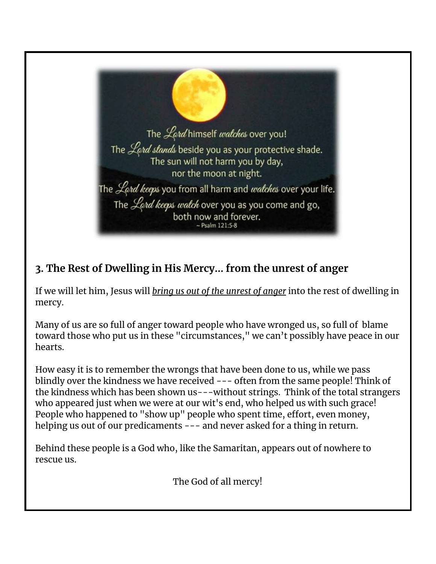

### **3. The Rest of Dwelling in His Mercy... from the unrest of anger**

If we will let him, Jesus will *bring us out of the unrest of anger* into the rest of dwelling in mercy.

Many of us are so full of anger toward people who have wronged us, so full of blame toward those who put us in these "circumstances," we can't possibly have peace in our hearts.

How easy it is to remember the wrongs that have been done to us, while we pass blindly over the kindness we have received --- often from the same people! Think of the kindness which has been shown us---without strings. Think of the total strangers who appeared just when we were at our wit's end, who helped us with such grace! People who happened to "show up" people who spent time, effort, even money, helping us out of our predicaments --- and never asked for a thing in return.

Behind these people is a God who, like the Samaritan, appears out of nowhere to rescue us.

The God of all mercy!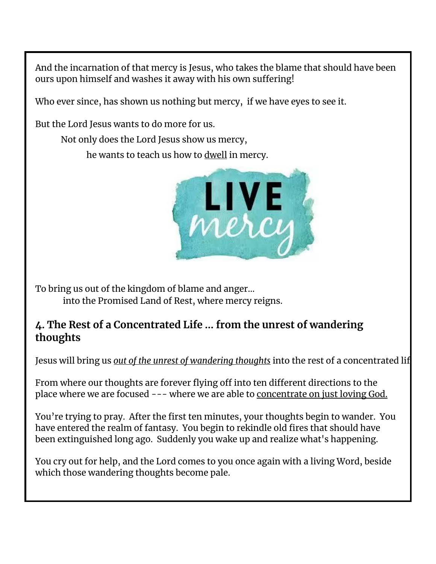And the incarnation of that mercy is Jesus, who takes the blame that should have been ours upon himself and washes it away with his own suffering!

Who ever since, has shown us nothing but mercy, if we have eyes to see it.

But the Lord Jesus wants to do more for us.

Not only does the Lord Jesus show us mercy,

he wants to teach us how to dwell in mercy.



To bring us out of the kingdom of blame and anger…

into the Promised Land of Rest, where mercy reigns.

#### **4. The Rest of a Concentrated Life ... from the unrest of wandering thoughts**

Jesus will bring us *out of the unrest of wandering thoughts* into the rest of a concentrated lif

From where our thoughts are forever flying off into ten different directions to the place where we are focused --- where we are able to concentrate on just loving God.

You're trying to pray. After the first ten minutes, your thoughts begin to wander. You have entered the realm of fantasy. You begin to rekindle old fires that should have been extinguished long ago. Suddenly you wake up and realize what's happening.

You cry out for help, and the Lord comes to you once again with a living Word, beside which those wandering thoughts become pale.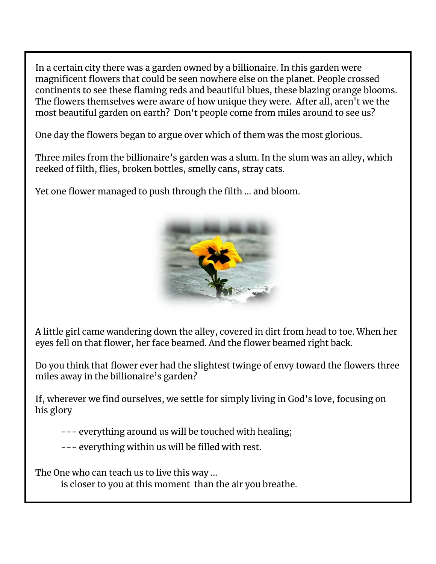In a certain city there was a garden owned by a billionaire. In this garden were magnificent flowers that could be seen nowhere else on the planet. People crossed continents to see these flaming reds and beautiful blues, these blazing orange blooms. The flowers themselves were aware of how unique they were. After all, aren't we the most beautiful garden on earth? Don't people come from miles around to see us?

One day the flowers began to argue over which of them was the most glorious.

Three miles from the billionaire's garden was a slum. In the slum was an alley, which reeked of filth, flies, broken bottles, smelly cans, stray cats.

Yet one flower managed to push through the filth ... and bloom.



A little girl came wandering down the alley, covered in dirt from head to toe. When her eyes fell on that flower, her face beamed. And the flower beamed right back.

Do you think that flower ever had the slightest twinge of envy toward the flowers three miles away in the billionaire's garden?

If, wherever we find ourselves, we settle for simply living in God's love, focusing on his glory

--- everything around us will be touched with healing;

--- everything within us will be filled with rest.

The One who can teach us to live this way …

is closer to you at this moment than the air you breathe.